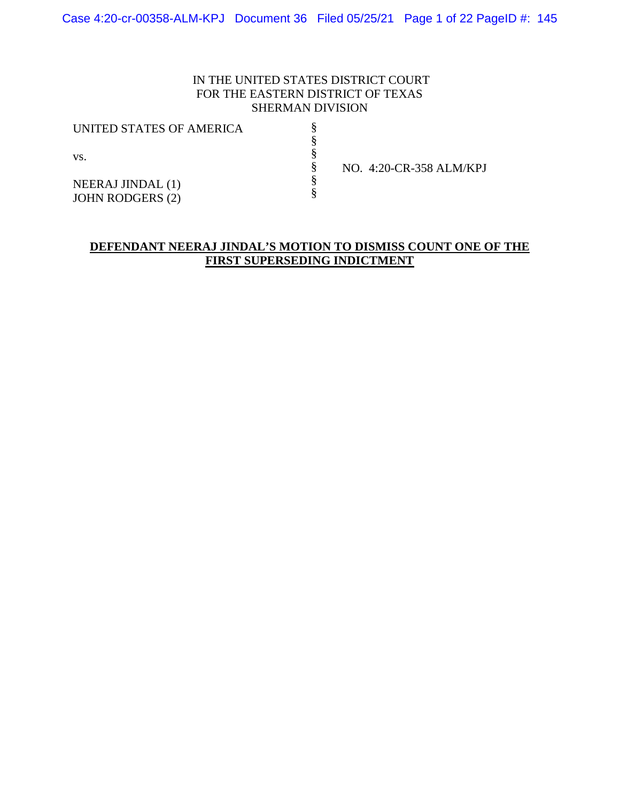## IN THE UNITED STATES DISTRICT COURT FOR THE EASTERN DISTRICT OF TEXAS SHERMAN DIVISION

§ § § § § §

| UNITED STATES OF AMERICA                            |  |
|-----------------------------------------------------|--|
| VS.                                                 |  |
| <b>NEERAJ JINDAL</b> (1)<br><b>JOHN RODGERS (2)</b> |  |

NO. 4:20-CR-358 ALM/KPJ

## **DEFENDANT NEERAJ JINDAL'S MOTION TO DISMISS COUNT ONE OF THE FIRST SUPERSEDING INDICTMENT**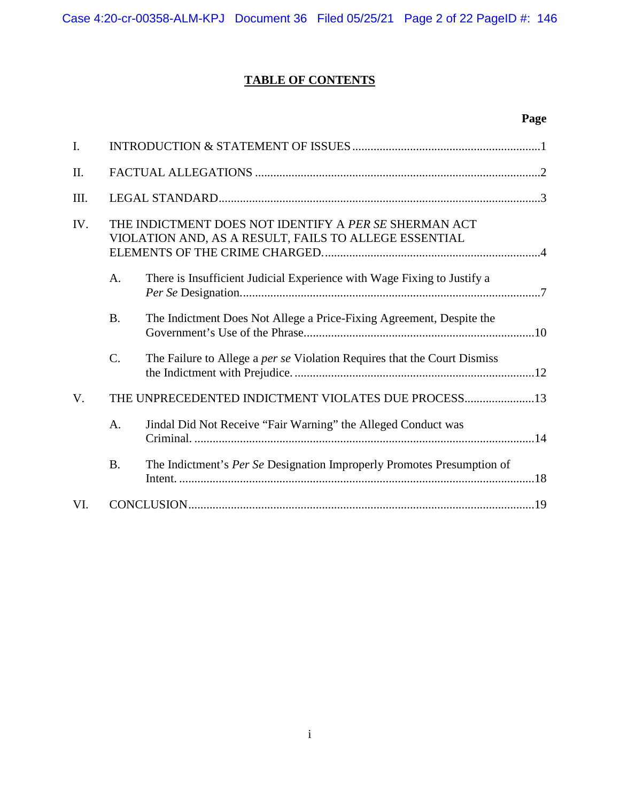# **TABLE OF CONTENTS**

# **Page**

| $\mathbf{I}$ . |                                                                                                                |                                                                                 |  |
|----------------|----------------------------------------------------------------------------------------------------------------|---------------------------------------------------------------------------------|--|
| II.            |                                                                                                                |                                                                                 |  |
| III.           |                                                                                                                |                                                                                 |  |
| IV.            | THE INDICTMENT DOES NOT IDENTIFY A PER SE SHERMAN ACT<br>VIOLATION AND, AS A RESULT, FAILS TO ALLEGE ESSENTIAL |                                                                                 |  |
|                | A.                                                                                                             | There is Insufficient Judicial Experience with Wage Fixing to Justify a         |  |
|                | <b>B.</b>                                                                                                      | The Indictment Does Not Allege a Price-Fixing Agreement, Despite the            |  |
|                | C.                                                                                                             | The Failure to Allege a <i>per se</i> Violation Requires that the Court Dismiss |  |
| $V_{\cdot}$    |                                                                                                                | THE UNPRECEDENTED INDICTMENT VIOLATES DUE PROCESS13                             |  |
|                | A.                                                                                                             | Jindal Did Not Receive "Fair Warning" the Alleged Conduct was                   |  |
|                | <b>B.</b>                                                                                                      | The Indictment's Per Se Designation Improperly Promotes Presumption of          |  |
| VI.            |                                                                                                                |                                                                                 |  |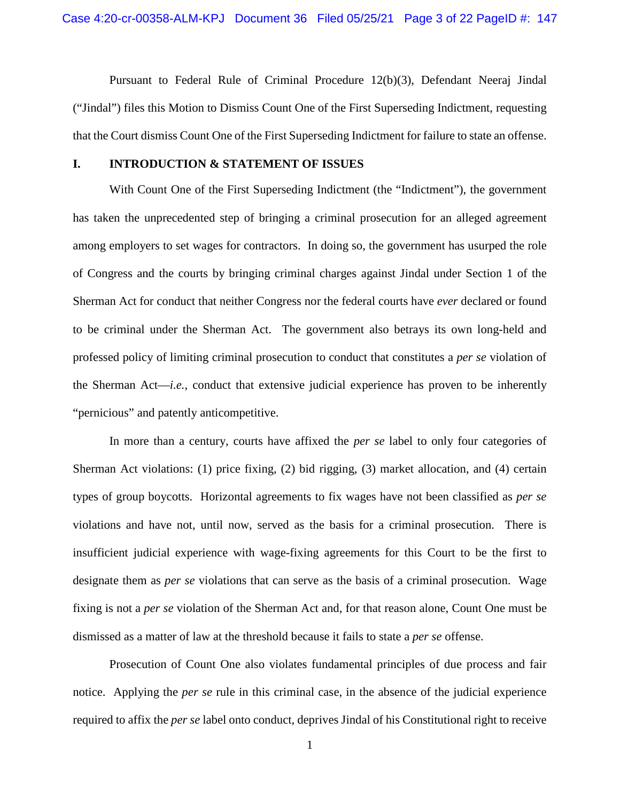Pursuant to Federal Rule of Criminal Procedure 12(b)(3), Defendant Neeraj Jindal ("Jindal") files this Motion to Dismiss Count One of the First Superseding Indictment, requesting that the Court dismiss Count One of the First Superseding Indictment for failure to state an offense.

#### **I. INTRODUCTION & STATEMENT OF ISSUES**

With Count One of the First Superseding Indictment (the "Indictment"), the government has taken the unprecedented step of bringing a criminal prosecution for an alleged agreement among employers to set wages for contractors. In doing so, the government has usurped the role of Congress and the courts by bringing criminal charges against Jindal under Section 1 of the Sherman Act for conduct that neither Congress nor the federal courts have *ever* declared or found to be criminal under the Sherman Act. The government also betrays its own long-held and professed policy of limiting criminal prosecution to conduct that constitutes a *per se* violation of the Sherman Act—*i.e.*, conduct that extensive judicial experience has proven to be inherently "pernicious" and patently anticompetitive.

In more than a century, courts have affixed the *per se* label to only four categories of Sherman Act violations: (1) price fixing, (2) bid rigging, (3) market allocation, and (4) certain types of group boycotts. Horizontal agreements to fix wages have not been classified as *per se* violations and have not, until now, served as the basis for a criminal prosecution. There is insufficient judicial experience with wage-fixing agreements for this Court to be the first to designate them as *per se* violations that can serve as the basis of a criminal prosecution. Wage fixing is not a *per se* violation of the Sherman Act and, for that reason alone, Count One must be dismissed as a matter of law at the threshold because it fails to state a *per se* offense.

Prosecution of Count One also violates fundamental principles of due process and fair notice. Applying the *per se* rule in this criminal case, in the absence of the judicial experience required to affix the *per se* label onto conduct, deprives Jindal of his Constitutional right to receive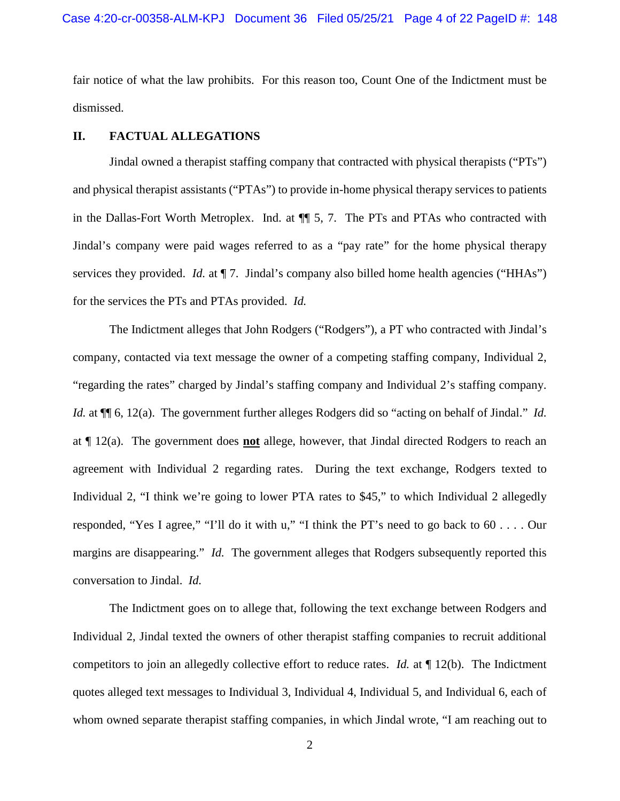fair notice of what the law prohibits. For this reason too, Count One of the Indictment must be dismissed.

#### **II. FACTUAL ALLEGATIONS**

Jindal owned a therapist staffing company that contracted with physical therapists ("PTs") and physical therapist assistants ("PTAs") to provide in-home physical therapy services to patients in the Dallas-Fort Worth Metroplex. Ind. at ¶¶ 5, 7. The PTs and PTAs who contracted with Jindal's company were paid wages referred to as a "pay rate" for the home physical therapy services they provided. *Id.* at  $\P$  7. Jindal's company also billed home health agencies ("HHAs") for the services the PTs and PTAs provided. *Id.*

The Indictment alleges that John Rodgers ("Rodgers"), a PT who contracted with Jindal's company, contacted via text message the owner of a competing staffing company, Individual 2, "regarding the rates" charged by Jindal's staffing company and Individual 2's staffing company. *Id.* at  $\P$  6, 12(a). The government further alleges Rodgers did so "acting on behalf of Jindal." *Id.* at ¶ 12(a). The government does **not** allege, however, that Jindal directed Rodgers to reach an agreement with Individual 2 regarding rates. During the text exchange, Rodgers texted to Individual 2, "I think we're going to lower PTA rates to \$45," to which Individual 2 allegedly responded, "Yes I agree," "I'll do it with u," "I think the PT's need to go back to 60 . . . . Our margins are disappearing." *Id.* The government alleges that Rodgers subsequently reported this conversation to Jindal. *Id.*

The Indictment goes on to allege that, following the text exchange between Rodgers and Individual 2, Jindal texted the owners of other therapist staffing companies to recruit additional competitors to join an allegedly collective effort to reduce rates. *Id.* at ¶ 12(b). The Indictment quotes alleged text messages to Individual 3, Individual 4, Individual 5, and Individual 6, each of whom owned separate therapist staffing companies, in which Jindal wrote, "I am reaching out to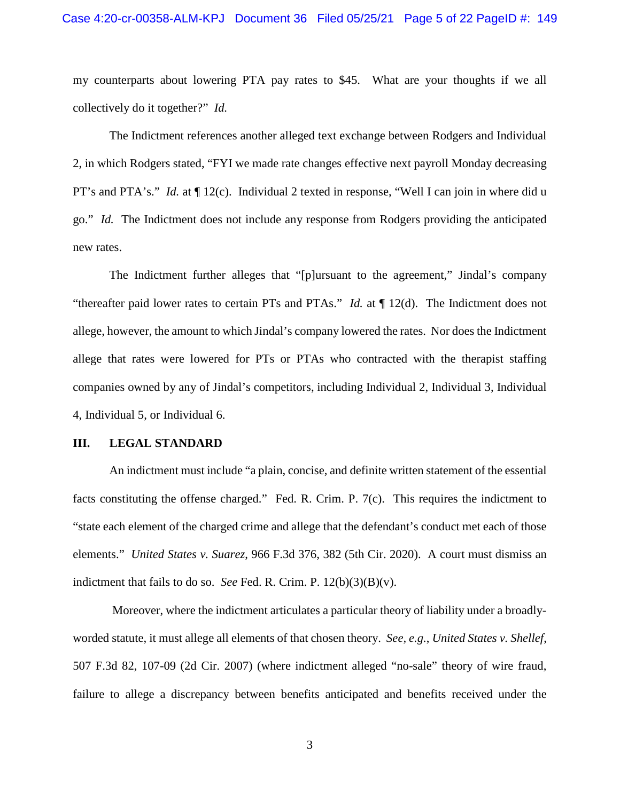my counterparts about lowering PTA pay rates to \$45. What are your thoughts if we all collectively do it together?" *Id.*

The Indictment references another alleged text exchange between Rodgers and Individual 2, in which Rodgers stated, "FYI we made rate changes effective next payroll Monday decreasing PT's and PTA's." *Id.* at ¶ 12(c). Individual 2 texted in response, "Well I can join in where did u go." *Id.* The Indictment does not include any response from Rodgers providing the anticipated new rates.

The Indictment further alleges that "[p]ursuant to the agreement," Jindal's company "thereafter paid lower rates to certain PTs and PTAs." *Id.* at ¶ 12(d). The Indictment does not allege, however, the amount to which Jindal's company lowered the rates. Nor does the Indictment allege that rates were lowered for PTs or PTAs who contracted with the therapist staffing companies owned by any of Jindal's competitors, including Individual 2, Individual 3, Individual 4, Individual 5, or Individual 6.

#### **III. LEGAL STANDARD**

An indictment must include "a plain, concise, and definite written statement of the essential facts constituting the offense charged." Fed. R. Crim. P. 7(c). This requires the indictment to "state each element of the charged crime and allege that the defendant's conduct met each of those elements." *United States v. Suarez*, 966 F.3d 376, 382 (5th Cir. 2020). A court must dismiss an indictment that fails to do so. *See* Fed. R. Crim. P.  $12(b)(3)(B)(v)$ .

 Moreover, where the indictment articulates a particular theory of liability under a broadlyworded statute, it must allege all elements of that chosen theory. *See, e.g.*, *United States v. Shellef*, 507 F.3d 82, 107-09 (2d Cir. 2007) (where indictment alleged "no-sale" theory of wire fraud, failure to allege a discrepancy between benefits anticipated and benefits received under the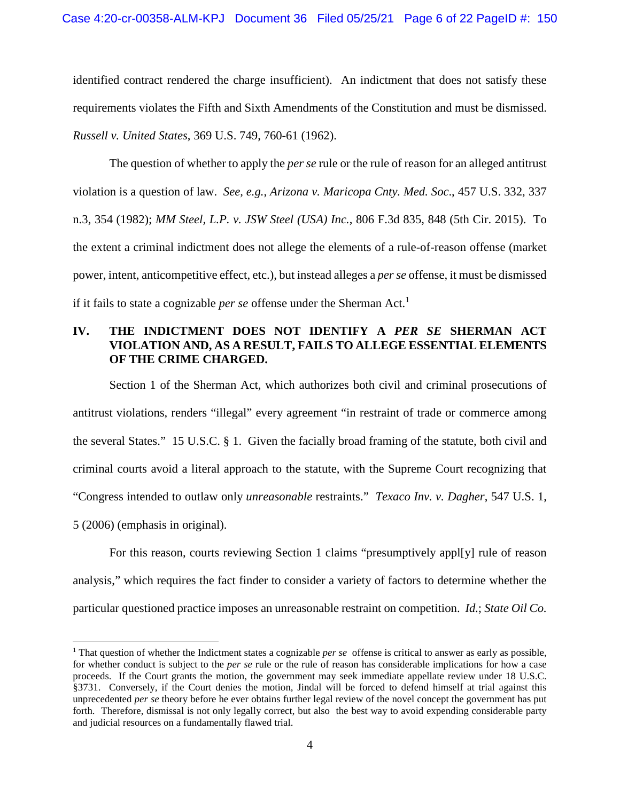identified contract rendered the charge insufficient). An indictment that does not satisfy these requirements violates the Fifth and Sixth Amendments of the Constitution and must be dismissed. *Russell v. United States*, 369 U.S. 749, 760-61 (1962).

The question of whether to apply the *per se* rule or the rule of reason for an alleged antitrust violation is a question of law. *See, e.g.*, *Arizona v. Maricopa Cnty. Med. Soc*., 457 U.S. 332, 337 n.3, 354 (1982); *MM Steel, L.P. v. JSW Steel (USA) Inc.*, 806 F.3d 835, 848 (5th Cir. 2015). To the extent a criminal indictment does not allege the elements of a rule-of-reason offense (market power, intent, anticompetitive effect, etc.), but instead alleges a *per se* offense, it must be dismissed if it fails to state a cognizable *per se* offense under the Sherman Act.<sup>1</sup>

## **IV. THE INDICTMENT DOES NOT IDENTIFY A** *PER SE* **SHERMAN ACT VIOLATION AND, AS A RESULT, FAILS TO ALLEGE ESSENTIAL ELEMENTS OF THE CRIME CHARGED.**

Section 1 of the Sherman Act, which authorizes both civil and criminal prosecutions of antitrust violations, renders "illegal" every agreement "in restraint of trade or commerce among the several States." 15 U.S.C. § 1. Given the facially broad framing of the statute, both civil and criminal courts avoid a literal approach to the statute, with the Supreme Court recognizing that "Congress intended to outlaw only *unreasonable* restraints." *Texaco Inv. v. Dagher*, 547 U.S. 1, 5 (2006) (emphasis in original).

For this reason, courts reviewing Section 1 claims "presumptively appl[y] rule of reason analysis," which requires the fact finder to consider a variety of factors to determine whether the particular questioned practice imposes an unreasonable restraint on competition. *Id.*; *State Oil Co.* 

<sup>&</sup>lt;sup>1</sup> That question of whether the Indictment states a cognizable *per se* offense is critical to answer as early as possible, for whether conduct is subject to the *per se* rule or the rule of reason has considerable implications for how a case proceeds. If the Court grants the motion, the government may seek immediate appellate review under 18 U.S.C. §3731. Conversely, if the Court denies the motion, Jindal will be forced to defend himself at trial against this unprecedented *per se* theory before he ever obtains further legal review of the novel concept the government has put forth. Therefore, dismissal is not only legally correct, but also the best way to avoid expending considerable party and judicial resources on a fundamentally flawed trial.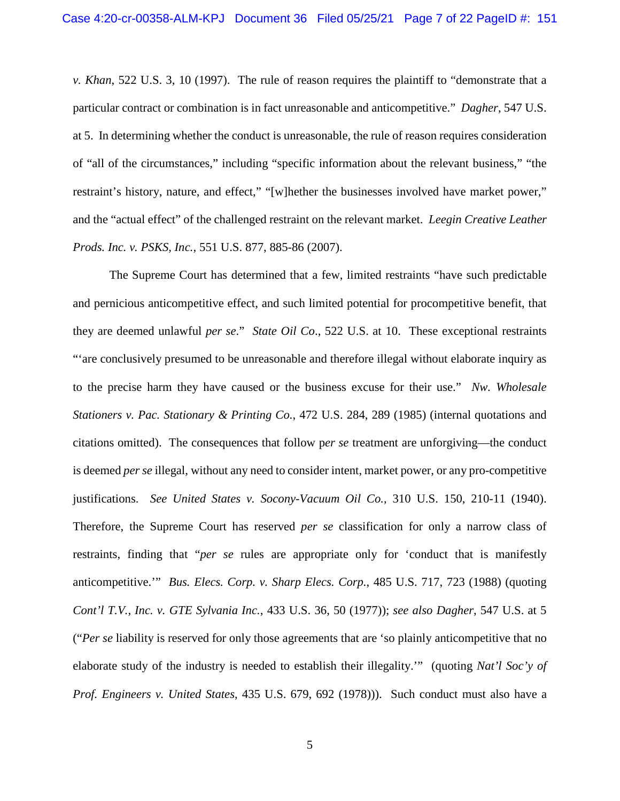*v. Khan*, 522 U.S. 3, 10 (1997). The rule of reason requires the plaintiff to "demonstrate that a particular contract or combination is in fact unreasonable and anticompetitive." *Dagher*, 547 U.S. at 5. In determining whether the conduct is unreasonable, the rule of reason requires consideration of "all of the circumstances," including "specific information about the relevant business," "the restraint's history, nature, and effect," "[w]hether the businesses involved have market power," and the "actual effect" of the challenged restraint on the relevant market. *Leegin Creative Leather Prods. Inc. v. PSKS, Inc.*, 551 U.S. 877, 885-86 (2007).

The Supreme Court has determined that a few, limited restraints "have such predictable and pernicious anticompetitive effect, and such limited potential for procompetitive benefit, that they are deemed unlawful *per se*." *State Oil Co*., 522 U.S. at 10. These exceptional restraints "'are conclusively presumed to be unreasonable and therefore illegal without elaborate inquiry as to the precise harm they have caused or the business excuse for their use." *Nw. Wholesale Stationers v. Pac. Stationary & Printing Co.*, 472 U.S. 284, 289 (1985) (internal quotations and citations omitted). The consequences that follow p*er se* treatment are unforgiving—the conduct is deemed *per se* illegal, without any need to consider intent, market power, or any pro-competitive justifications. *See United States v. Socony-Vacuum Oil Co.*, 310 U.S. 150, 210-11 (1940). Therefore, the Supreme Court has reserved *per se* classification for only a narrow class of restraints, finding that "*per se* rules are appropriate only for 'conduct that is manifestly anticompetitive.'" *Bus. Elecs. Corp. v. Sharp Elecs. Corp.*, 485 U.S. 717, 723 (1988) (quoting *Cont'l T.V., Inc. v. GTE Sylvania Inc.*, 433 U.S. 36, 50 (1977)); *see also Dagher*, 547 U.S. at 5 ("*Per se* liability is reserved for only those agreements that are 'so plainly anticompetitive that no elaborate study of the industry is needed to establish their illegality.'" (quoting *Nat'l Soc'y of Prof. Engineers v. United States*, 435 U.S. 679, 692 (1978))). Such conduct must also have a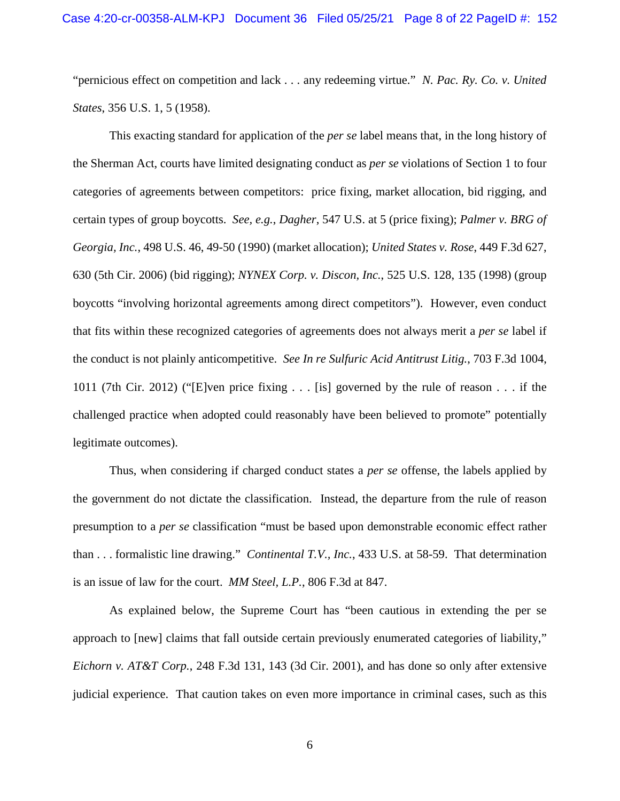"pernicious effect on competition and lack . . . any redeeming virtue." *N. Pac. Ry. Co. v. United States*, 356 U.S. 1, 5 (1958).

This exacting standard for application of the *per se* label means that, in the long history of the Sherman Act, courts have limited designating conduct as *per se* violations of Section 1 to four categories of agreements between competitors: price fixing, market allocation, bid rigging, and certain types of group boycotts. *See, e.g.*, *Dagher*, 547 U.S. at 5 (price fixing); *Palmer v. BRG of Georgia, Inc.*, 498 U.S. 46, 49-50 (1990) (market allocation); *United States v. Rose*, 449 F.3d 627, 630 (5th Cir. 2006) (bid rigging); *NYNEX Corp. v. Discon, Inc.*, 525 U.S. 128, 135 (1998) (group boycotts "involving horizontal agreements among direct competitors"). However, even conduct that fits within these recognized categories of agreements does not always merit a *per se* label if the conduct is not plainly anticompetitive. *See In re Sulfuric Acid Antitrust Litig.*, 703 F.3d 1004, 1011 (7th Cir. 2012) ("[E]ven price fixing . . . [is] governed by the rule of reason . . . if the challenged practice when adopted could reasonably have been believed to promote" potentially legitimate outcomes).

Thus, when considering if charged conduct states a *per se* offense, the labels applied by the government do not dictate the classification. Instead, the departure from the rule of reason presumption to a *per se* classification "must be based upon demonstrable economic effect rather than . . . formalistic line drawing." *Continental T.V., Inc.*, 433 U.S. at 58-59. That determination is an issue of law for the court. *MM Steel, L.P.*, 806 F.3d at 847.

As explained below, the Supreme Court has "been cautious in extending the per se approach to [new] claims that fall outside certain previously enumerated categories of liability," *Eichorn v. AT&T Corp.*, 248 F.3d 131, 143 (3d Cir. 2001), and has done so only after extensive judicial experience. That caution takes on even more importance in criminal cases, such as this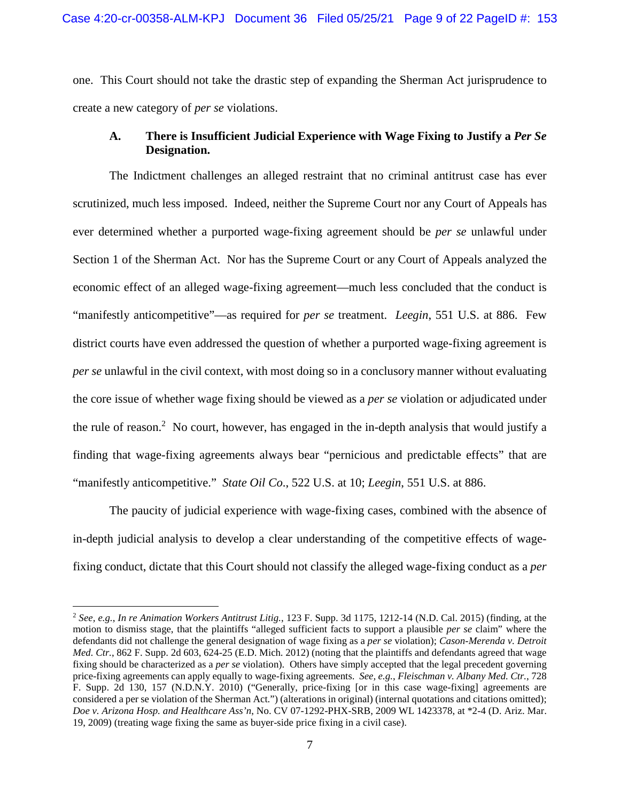one. This Court should not take the drastic step of expanding the Sherman Act jurisprudence to create a new category of *per se* violations.

## **A. There is Insufficient Judicial Experience with Wage Fixing to Justify a** *Per Se*  **Designation.**

The Indictment challenges an alleged restraint that no criminal antitrust case has ever scrutinized, much less imposed. Indeed, neither the Supreme Court nor any Court of Appeals has ever determined whether a purported wage-fixing agreement should be *per se* unlawful under Section 1 of the Sherman Act. Nor has the Supreme Court or any Court of Appeals analyzed the economic effect of an alleged wage-fixing agreement—much less concluded that the conduct is "manifestly anticompetitive"—as required for *per se* treatment. *Leegin*, 551 U.S. at 886. Few district courts have even addressed the question of whether a purported wage-fixing agreement is *per se* unlawful in the civil context, with most doing so in a conclusory manner without evaluating the core issue of whether wage fixing should be viewed as a *per se* violation or adjudicated under the rule of reason.<sup>2</sup> No court, however, has engaged in the in-depth analysis that would justify a finding that wage-fixing agreements always bear "pernicious and predictable effects" that are "manifestly anticompetitive." *State Oil Co*., 522 U.S. at 10; *Leegin*, 551 U.S. at 886.

The paucity of judicial experience with wage-fixing cases, combined with the absence of in-depth judicial analysis to develop a clear understanding of the competitive effects of wagefixing conduct, dictate that this Court should not classify the alleged wage-fixing conduct as a *per* 

<sup>2</sup> *See, e.g.*, *In re Animation Workers Antitrust Litig.*, 123 F. Supp. 3d 1175, 1212-14 (N.D. Cal. 2015) (finding, at the motion to dismiss stage, that the plaintiffs "alleged sufficient facts to support a plausible *per se* claim" where the defendants did not challenge the general designation of wage fixing as a *per se* violation); *Cason-Merenda v. Detroit Med. Ctr.*, 862 F. Supp. 2d 603, 624-25 (E.D. Mich. 2012) (noting that the plaintiffs and defendants agreed that wage fixing should be characterized as a *per se* violation). Others have simply accepted that the legal precedent governing price-fixing agreements can apply equally to wage-fixing agreements. *See, e.g.*, *Fleischman v. Albany Med. Ctr.*, 728 F. Supp. 2d 130, 157 (N.D.N.Y. 2010) ("Generally, price-fixing [or in this case wage-fixing] agreements are considered a per se violation of the Sherman Act.") (alterations in original) (internal quotations and citations omitted); *Doe v. Arizona Hosp. and Healthcare Ass'n*, No. CV 07-1292-PHX-SRB, 2009 WL 1423378, at \*2-4 (D. Ariz. Mar. 19, 2009) (treating wage fixing the same as buyer-side price fixing in a civil case).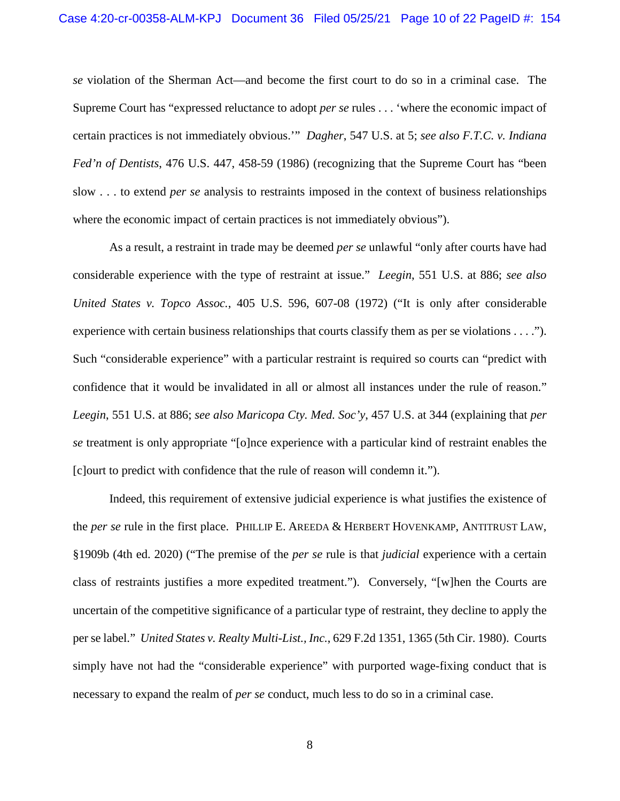*se* violation of the Sherman Act—and become the first court to do so in a criminal case. The Supreme Court has "expressed reluctance to adopt *per se* rules . . . 'where the economic impact of certain practices is not immediately obvious.'" *Dagher*, 547 U.S. at 5; *see also F.T.C. v. Indiana Fed'n of Dentists*, 476 U.S. 447, 458-59 (1986) (recognizing that the Supreme Court has "been slow . . . to extend *per se* analysis to restraints imposed in the context of business relationships where the economic impact of certain practices is not immediately obvious").

As a result, a restraint in trade may be deemed *per se* unlawful "only after courts have had considerable experience with the type of restraint at issue." *Leegin*, 551 U.S. at 886; *see also United States v. Topco Assoc.*, 405 U.S. 596, 607-08 (1972) ("It is only after considerable experience with certain business relationships that courts classify them as per se violations . . . ."). Such "considerable experience" with a particular restraint is required so courts can "predict with confidence that it would be invalidated in all or almost all instances under the rule of reason." *Leegin*, 551 U.S. at 886; *see also Maricopa Cty. Med. Soc'y*, 457 U.S. at 344 (explaining that *per se* treatment is only appropriate "[o]nce experience with a particular kind of restraint enables the [c]ourt to predict with confidence that the rule of reason will condemn it.").

Indeed, this requirement of extensive judicial experience is what justifies the existence of the *per se* rule in the first place. PHILLIP E. AREEDA & HERBERT HOVENKAMP, ANTITRUST LAW, §1909b (4th ed. 2020) ("The premise of the *per se* rule is that *judicial* experience with a certain class of restraints justifies a more expedited treatment."). Conversely, "[w]hen the Courts are uncertain of the competitive significance of a particular type of restraint, they decline to apply the per se label." *United States v. Realty Multi-List., Inc.*, 629 F.2d 1351, 1365 (5th Cir. 1980). Courts simply have not had the "considerable experience" with purported wage-fixing conduct that is necessary to expand the realm of *per se* conduct, much less to do so in a criminal case.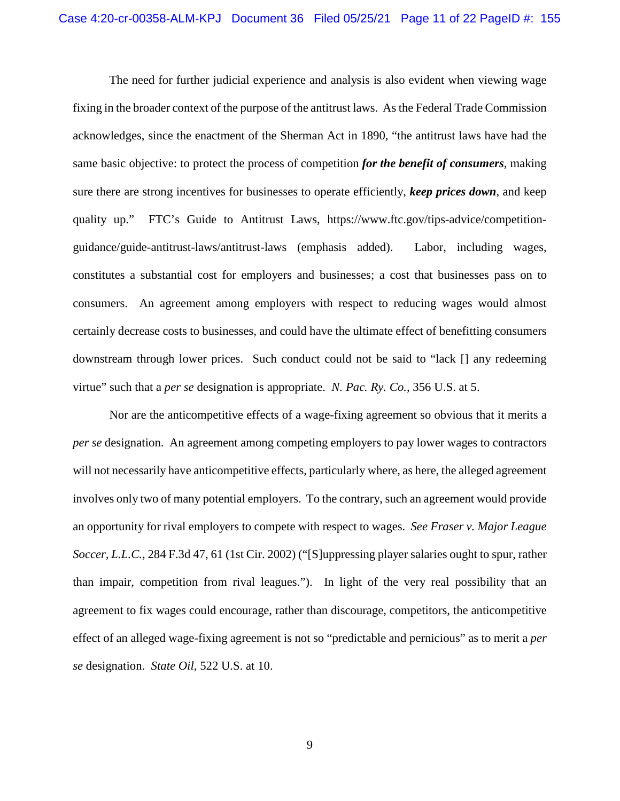The need for further judicial experience and analysis is also evident when viewing wage fixing in the broader context of the purpose of the antitrust laws. As the Federal Trade Commission acknowledges, since the enactment of the Sherman Act in 1890, "the antitrust laws have had the same basic objective: to protect the process of competition *for the benefit of consumers*, making sure there are strong incentives for businesses to operate efficiently, *keep prices down*, and keep quality up." FTC's Guide to Antitrust Laws, https://www.ftc.gov/tips-advice/competitionguidance/guide-antitrust-laws/antitrust-laws (emphasis added). Labor, including wages, constitutes a substantial cost for employers and businesses; a cost that businesses pass on to consumers. An agreement among employers with respect to reducing wages would almost certainly decrease costs to businesses, and could have the ultimate effect of benefitting consumers downstream through lower prices. Such conduct could not be said to "lack [] any redeeming virtue" such that a *per se* designation is appropriate. *N. Pac. Ry. Co.*, 356 U.S. at 5.

Nor are the anticompetitive effects of a wage-fixing agreement so obvious that it merits a *per se* designation. An agreement among competing employers to pay lower wages to contractors will not necessarily have anticompetitive effects, particularly where, as here, the alleged agreement involves only two of many potential employers. To the contrary, such an agreement would provide an opportunity for rival employers to compete with respect to wages. *See Fraser v. Major League Soccer, L.L.C.*, 284 F.3d 47, 61 (1st Cir. 2002) ("[S]uppressing player salaries ought to spur, rather than impair, competition from rival leagues."). In light of the very real possibility that an agreement to fix wages could encourage, rather than discourage, competitors, the anticompetitive effect of an alleged wage-fixing agreement is not so "predictable and pernicious" as to merit a *per se* designation. *State Oil*, 522 U.S. at 10.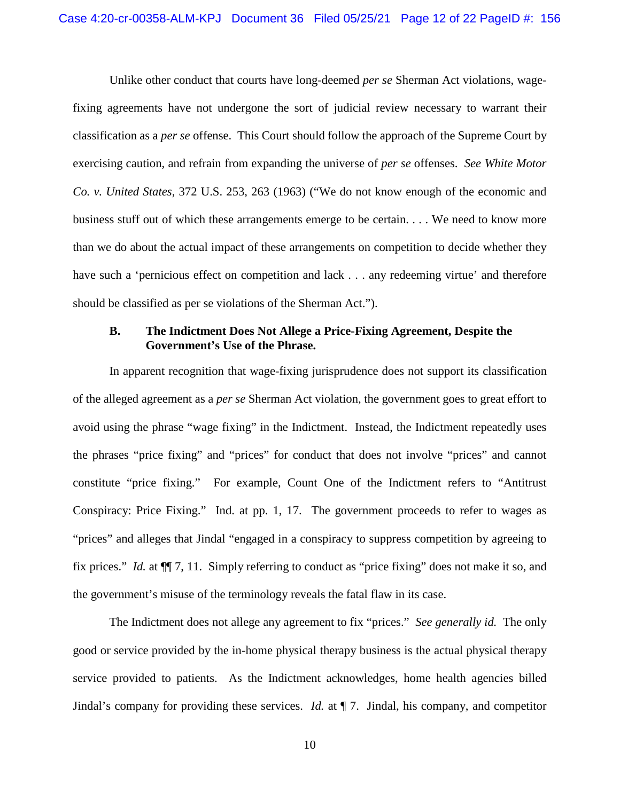Unlike other conduct that courts have long-deemed *per se* Sherman Act violations, wagefixing agreements have not undergone the sort of judicial review necessary to warrant their classification as a *per se* offense. This Court should follow the approach of the Supreme Court by exercising caution, and refrain from expanding the universe of *per se* offenses. *See White Motor Co. v. United States*, 372 U.S. 253, 263 (1963) ("We do not know enough of the economic and business stuff out of which these arrangements emerge to be certain. . . . We need to know more than we do about the actual impact of these arrangements on competition to decide whether they have such a 'pernicious effect on competition and lack . . . any redeeming virtue' and therefore should be classified as per se violations of the Sherman Act.").

#### **B. The Indictment Does Not Allege a Price-Fixing Agreement, Despite the Government's Use of the Phrase.**

In apparent recognition that wage-fixing jurisprudence does not support its classification of the alleged agreement as a *per se* Sherman Act violation, the government goes to great effort to avoid using the phrase "wage fixing" in the Indictment. Instead, the Indictment repeatedly uses the phrases "price fixing" and "prices" for conduct that does not involve "prices" and cannot constitute "price fixing." For example, Count One of the Indictment refers to "Antitrust Conspiracy: Price Fixing." Ind. at pp. 1, 17. The government proceeds to refer to wages as "prices" and alleges that Jindal "engaged in a conspiracy to suppress competition by agreeing to fix prices." *Id.* at ¶¶ 7, 11. Simply referring to conduct as "price fixing" does not make it so, and the government's misuse of the terminology reveals the fatal flaw in its case.

The Indictment does not allege any agreement to fix "prices." *See generally id.* The only good or service provided by the in-home physical therapy business is the actual physical therapy service provided to patients. As the Indictment acknowledges, home health agencies billed Jindal's company for providing these services. *Id.* at ¶ 7. Jindal, his company, and competitor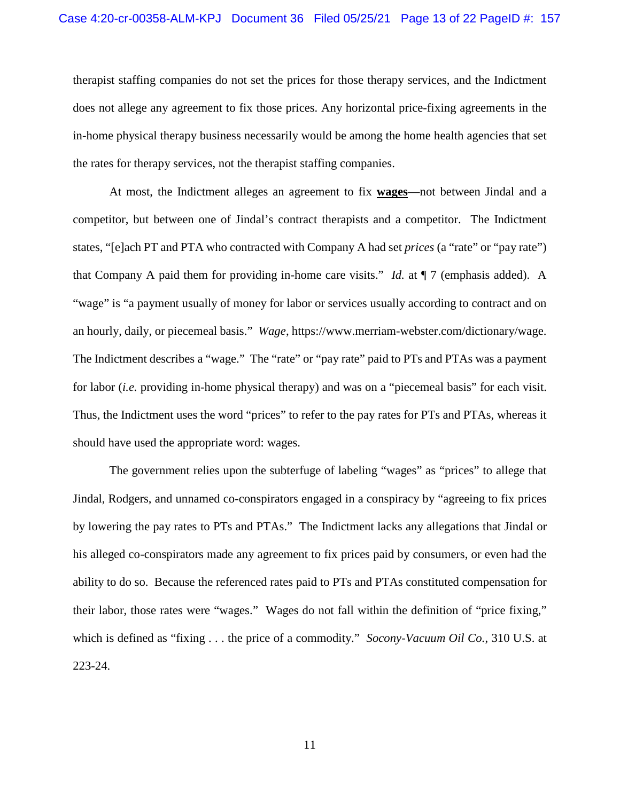therapist staffing companies do not set the prices for those therapy services, and the Indictment does not allege any agreement to fix those prices. Any horizontal price-fixing agreements in the in-home physical therapy business necessarily would be among the home health agencies that set the rates for therapy services, not the therapist staffing companies.

At most, the Indictment alleges an agreement to fix **wages**—not between Jindal and a competitor, but between one of Jindal's contract therapists and a competitor. The Indictment states, "[e]ach PT and PTA who contracted with Company A had set *prices* (a "rate" or "pay rate") that Company A paid them for providing in-home care visits." *Id.* at ¶ 7 (emphasis added). A "wage" is "a payment usually of money for labor or services usually according to contract and on an hourly, daily, or piecemeal basis." *Wage*, https://www.merriam-webster.com/dictionary/wage. The Indictment describes a "wage." The "rate" or "pay rate" paid to PTs and PTAs was a payment for labor (*i.e.* providing in-home physical therapy) and was on a "piecemeal basis" for each visit. Thus, the Indictment uses the word "prices" to refer to the pay rates for PTs and PTAs, whereas it should have used the appropriate word: wages.

The government relies upon the subterfuge of labeling "wages" as "prices" to allege that Jindal, Rodgers, and unnamed co-conspirators engaged in a conspiracy by "agreeing to fix prices by lowering the pay rates to PTs and PTAs." The Indictment lacks any allegations that Jindal or his alleged co-conspirators made any agreement to fix prices paid by consumers, or even had the ability to do so. Because the referenced rates paid to PTs and PTAs constituted compensation for their labor, those rates were "wages." Wages do not fall within the definition of "price fixing," which is defined as "fixing . . . the price of a commodity." *Socony-Vacuum Oil Co.*, 310 U.S. at 223-24.

11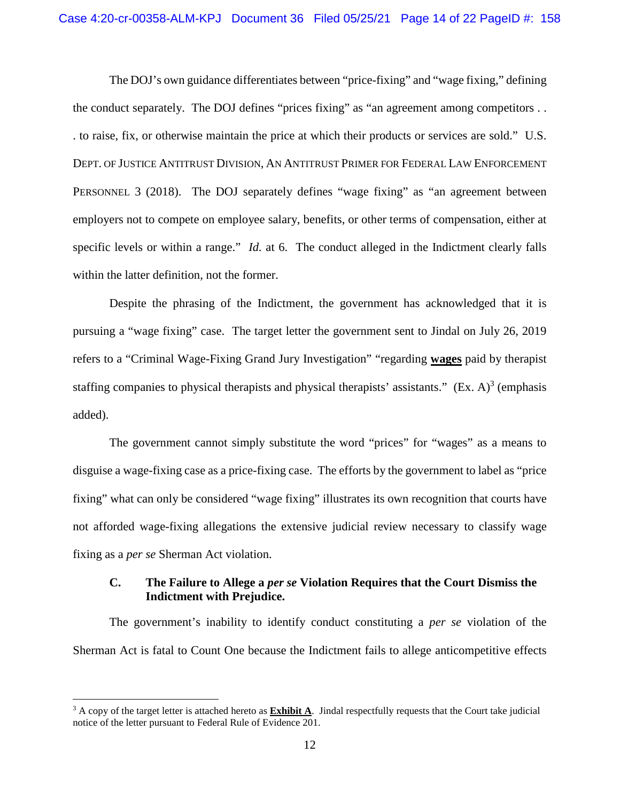The DOJ's own guidance differentiates between "price-fixing" and "wage fixing," defining the conduct separately. The DOJ defines "prices fixing" as "an agreement among competitors . . . to raise, fix, or otherwise maintain the price at which their products or services are sold." U.S. DEPT. OF JUSTICE ANTITRUST DIVISION, AN ANTITRUST PRIMER FOR FEDERAL LAW ENFORCEMENT PERSONNEL 3 (2018). The DOJ separately defines "wage fixing" as "an agreement between employers not to compete on employee salary, benefits, or other terms of compensation, either at specific levels or within a range." *Id.* at 6. The conduct alleged in the Indictment clearly falls within the latter definition, not the former.

Despite the phrasing of the Indictment, the government has acknowledged that it is pursuing a "wage fixing" case. The target letter the government sent to Jindal on July 26, 2019 refers to a "Criminal Wage-Fixing Grand Jury Investigation" "regarding **wages** paid by therapist staffing companies to physical therapists and physical therapists' assistants."  $(Ex. A)^3$  (emphasis added).

The government cannot simply substitute the word "prices" for "wages" as a means to disguise a wage-fixing case as a price-fixing case. The efforts by the government to label as "price fixing" what can only be considered "wage fixing" illustrates its own recognition that courts have not afforded wage-fixing allegations the extensive judicial review necessary to classify wage fixing as a *per se* Sherman Act violation.

# **C. The Failure to Allege a** *per se* **Violation Requires that the Court Dismiss the Indictment with Prejudice.**

The government's inability to identify conduct constituting a *per se* violation of the Sherman Act is fatal to Count One because the Indictment fails to allege anticompetitive effects

<sup>&</sup>lt;sup>3</sup> A copy of the target letter is attached hereto as **Exhibit A**. Jindal respectfully requests that the Court take judicial notice of the letter pursuant to Federal Rule of Evidence 201.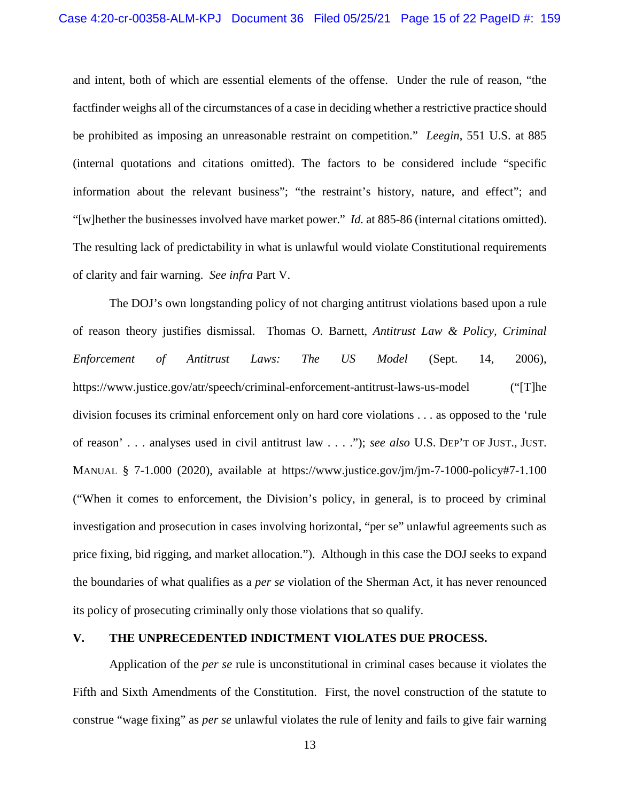and intent, both of which are essential elements of the offense. Under the rule of reason, "the factfinder weighs all of the circumstances of a case in deciding whether a restrictive practice should be prohibited as imposing an unreasonable restraint on competition." *Leegin*, 551 U.S. at 885 (internal quotations and citations omitted). The factors to be considered include "specific information about the relevant business"; "the restraint's history, nature, and effect"; and "[w]hether the businesses involved have market power." *Id.* at 885-86 (internal citations omitted). The resulting lack of predictability in what is unlawful would violate Constitutional requirements of clarity and fair warning. *See infra* Part V.

The DOJ's own longstanding policy of not charging antitrust violations based upon a rule of reason theory justifies dismissal. Thomas O. Barnett, *Antitrust Law & Policy, Criminal Enforcement of Antitrust Laws: The US Model* (Sept. 14, 2006), https://www.justice.gov/atr/speech/criminal-enforcement-antitrust-laws-us-model ("[T]he division focuses its criminal enforcement only on hard core violations . . . as opposed to the 'rule of reason' . . . analyses used in civil antitrust law . . . ."); *see also* U.S. DEP'T OF JUST., JUST. MANUAL § 7-1.000 (2020), available at https://www.justice.gov/jm/jm-7-1000-policy#7-1.100 ("When it comes to enforcement, the Division's policy, in general, is to proceed by criminal investigation and prosecution in cases involving horizontal, "per se" unlawful agreements such as price fixing, bid rigging, and market allocation."). Although in this case the DOJ seeks to expand the boundaries of what qualifies as a *per se* violation of the Sherman Act, it has never renounced its policy of prosecuting criminally only those violations that so qualify.

#### **V. THE UNPRECEDENTED INDICTMENT VIOLATES DUE PROCESS.**

Application of the *per se* rule is unconstitutional in criminal cases because it violates the Fifth and Sixth Amendments of the Constitution. First, the novel construction of the statute to construe "wage fixing" as *per se* unlawful violates the rule of lenity and fails to give fair warning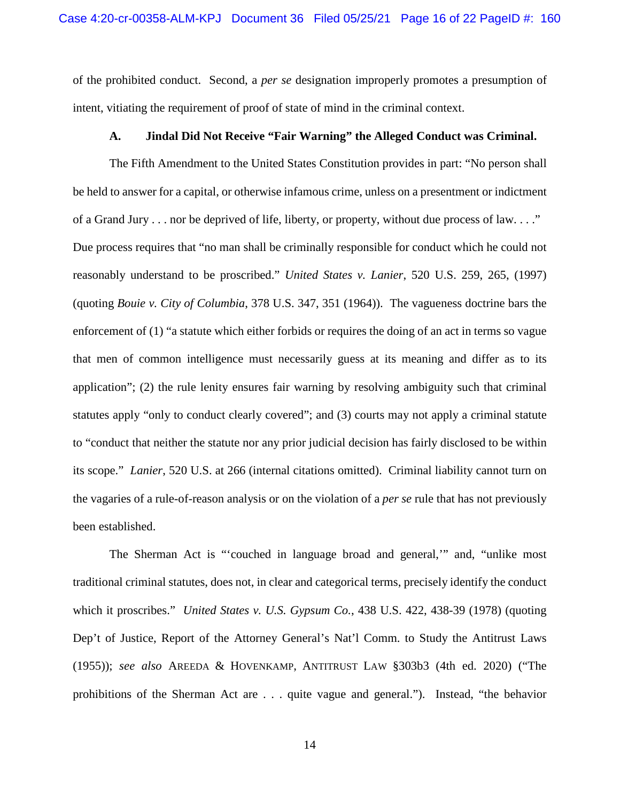of the prohibited conduct. Second, a *per se* designation improperly promotes a presumption of intent, vitiating the requirement of proof of state of mind in the criminal context.

#### **A. Jindal Did Not Receive "Fair Warning" the Alleged Conduct was Criminal.**

The Fifth Amendment to the United States Constitution provides in part: "No person shall be held to answer for a capital, or otherwise infamous crime, unless on a presentment or indictment of a Grand Jury . . . nor be deprived of life, liberty, or property, without due process of law. . . ." Due process requires that "no man shall be criminally responsible for conduct which he could not reasonably understand to be proscribed." *United States v. Lanier*, 520 U.S. 259, 265, (1997) (quoting *Bouie v. City of Columbia*, 378 U.S. 347, 351 (1964)). The vagueness doctrine bars the enforcement of (1) "a statute which either forbids or requires the doing of an act in terms so vague that men of common intelligence must necessarily guess at its meaning and differ as to its application"; (2) the rule lenity ensures fair warning by resolving ambiguity such that criminal statutes apply "only to conduct clearly covered"; and (3) courts may not apply a criminal statute to "conduct that neither the statute nor any prior judicial decision has fairly disclosed to be within its scope." *Lanier*, 520 U.S. at 266 (internal citations omitted). Criminal liability cannot turn on the vagaries of a rule-of-reason analysis or on the violation of a *per se* rule that has not previously been established.

The Sherman Act is "'couched in language broad and general,'" and, "unlike most traditional criminal statutes, does not, in clear and categorical terms, precisely identify the conduct which it proscribes." *United States v. U.S. Gypsum Co.*, 438 U.S. 422, 438-39 (1978) (quoting Dep't of Justice, Report of the Attorney General's Nat'l Comm. to Study the Antitrust Laws (1955)); *see also* AREEDA & HOVENKAMP, ANTITRUST LAW §303b3 (4th ed. 2020) ("The prohibitions of the Sherman Act are . . . quite vague and general."). Instead, "the behavior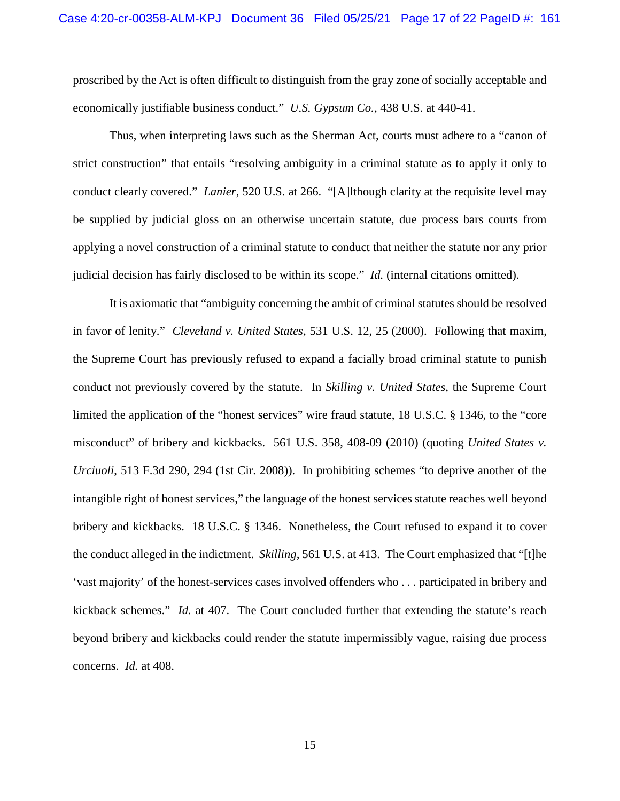proscribed by the Act is often difficult to distinguish from the gray zone of socially acceptable and economically justifiable business conduct." *U.S. Gypsum Co.*, 438 U.S. at 440-41.

Thus, when interpreting laws such as the Sherman Act, courts must adhere to a "canon of strict construction" that entails "resolving ambiguity in a criminal statute as to apply it only to conduct clearly covered." *Lanier*, 520 U.S. at 266. "[A]lthough clarity at the requisite level may be supplied by judicial gloss on an otherwise uncertain statute, due process bars courts from applying a novel construction of a criminal statute to conduct that neither the statute nor any prior judicial decision has fairly disclosed to be within its scope." *Id.* (internal citations omitted).

It is axiomatic that "ambiguity concerning the ambit of criminal statutes should be resolved in favor of lenity." *Cleveland v. United States*, 531 U.S. 12, 25 (2000). Following that maxim, the Supreme Court has previously refused to expand a facially broad criminal statute to punish conduct not previously covered by the statute. In *Skilling v. United States*, the Supreme Court limited the application of the "honest services" wire fraud statute, 18 U.S.C. § 1346, to the "core misconduct" of bribery and kickbacks. 561 U.S. 358, 408-09 (2010) (quoting *United States v. Urciuoli*, 513 F.3d 290, 294 (1st Cir. 2008)). In prohibiting schemes "to deprive another of the intangible right of honest services," the language of the honest services statute reaches well beyond bribery and kickbacks. 18 U.S.C. § 1346. Nonetheless, the Court refused to expand it to cover the conduct alleged in the indictment. *Skilling*, 561 U.S. at 413. The Court emphasized that "[t]he 'vast majority' of the honest-services cases involved offenders who . . . participated in bribery and kickback schemes." *Id.* at 407. The Court concluded further that extending the statute's reach beyond bribery and kickbacks could render the statute impermissibly vague, raising due process concerns. *Id.* at 408.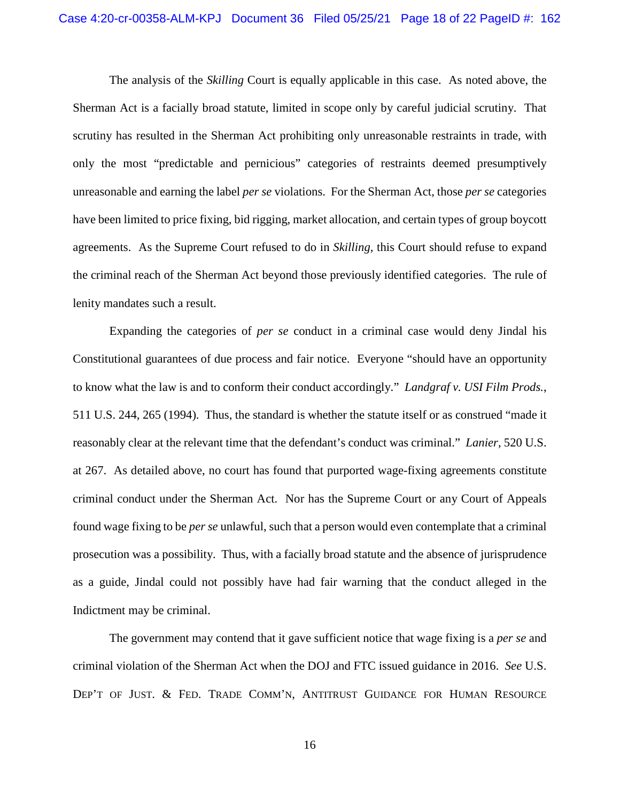The analysis of the *Skilling* Court is equally applicable in this case. As noted above, the Sherman Act is a facially broad statute, limited in scope only by careful judicial scrutiny. That scrutiny has resulted in the Sherman Act prohibiting only unreasonable restraints in trade, with only the most "predictable and pernicious" categories of restraints deemed presumptively unreasonable and earning the label *per se* violations. For the Sherman Act, those *per se* categories have been limited to price fixing, bid rigging, market allocation, and certain types of group boycott agreements. As the Supreme Court refused to do in *Skilling*, this Court should refuse to expand the criminal reach of the Sherman Act beyond those previously identified categories. The rule of lenity mandates such a result.

Expanding the categories of *per se* conduct in a criminal case would deny Jindal his Constitutional guarantees of due process and fair notice. Everyone "should have an opportunity to know what the law is and to conform their conduct accordingly." *Landgraf v. USI Film Prods.*, 511 U.S. 244, 265 (1994). Thus, the standard is whether the statute itself or as construed "made it reasonably clear at the relevant time that the defendant's conduct was criminal." *Lanier*, 520 U.S. at 267. As detailed above, no court has found that purported wage-fixing agreements constitute criminal conduct under the Sherman Act. Nor has the Supreme Court or any Court of Appeals found wage fixing to be *per se* unlawful, such that a person would even contemplate that a criminal prosecution was a possibility. Thus, with a facially broad statute and the absence of jurisprudence as a guide, Jindal could not possibly have had fair warning that the conduct alleged in the Indictment may be criminal.

The government may contend that it gave sufficient notice that wage fixing is a *per se* and criminal violation of the Sherman Act when the DOJ and FTC issued guidance in 2016. *See* U.S. DEP'T OF JUST. & FED. TRADE COMM'N, ANTITRUST GUIDANCE FOR HUMAN RESOURCE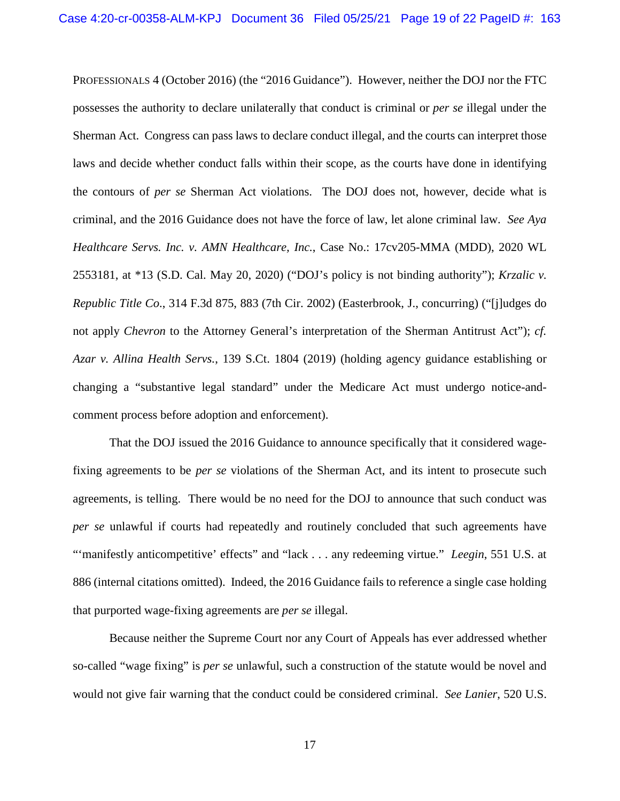PROFESSIONALS 4 (October 2016) (the "2016 Guidance"). However, neither the DOJ nor the FTC possesses the authority to declare unilaterally that conduct is criminal or *per se* illegal under the Sherman Act. Congress can pass laws to declare conduct illegal, and the courts can interpret those laws and decide whether conduct falls within their scope, as the courts have done in identifying the contours of *per se* Sherman Act violations. The DOJ does not, however, decide what is criminal, and the 2016 Guidance does not have the force of law, let alone criminal law. *See Aya Healthcare Servs. Inc. v. AMN Healthcare, Inc.*, Case No.: 17cv205-MMA (MDD), 2020 WL 2553181, at \*13 (S.D. Cal. May 20, 2020) ("DOJ's policy is not binding authority"); *Krzalic v. Republic Title Co*., 314 F.3d 875, 883 (7th Cir. 2002) (Easterbrook, J., concurring) ("[j]udges do not apply *Chevron* to the Attorney General's interpretation of the Sherman Antitrust Act"); *cf. Azar v. Allina Health Servs.*, 139 S.Ct. 1804 (2019) (holding agency guidance establishing or changing a "substantive legal standard" under the Medicare Act must undergo notice-andcomment process before adoption and enforcement).

That the DOJ issued the 2016 Guidance to announce specifically that it considered wagefixing agreements to be *per se* violations of the Sherman Act, and its intent to prosecute such agreements, is telling. There would be no need for the DOJ to announce that such conduct was *per se* unlawful if courts had repeatedly and routinely concluded that such agreements have "'manifestly anticompetitive' effects" and "lack . . . any redeeming virtue." *Leegin*, 551 U.S. at 886 (internal citations omitted). Indeed, the 2016 Guidance fails to reference a single case holding that purported wage-fixing agreements are *per se* illegal.

Because neither the Supreme Court nor any Court of Appeals has ever addressed whether so-called "wage fixing" is *per se* unlawful, such a construction of the statute would be novel and would not give fair warning that the conduct could be considered criminal. *See Lanier*, 520 U.S.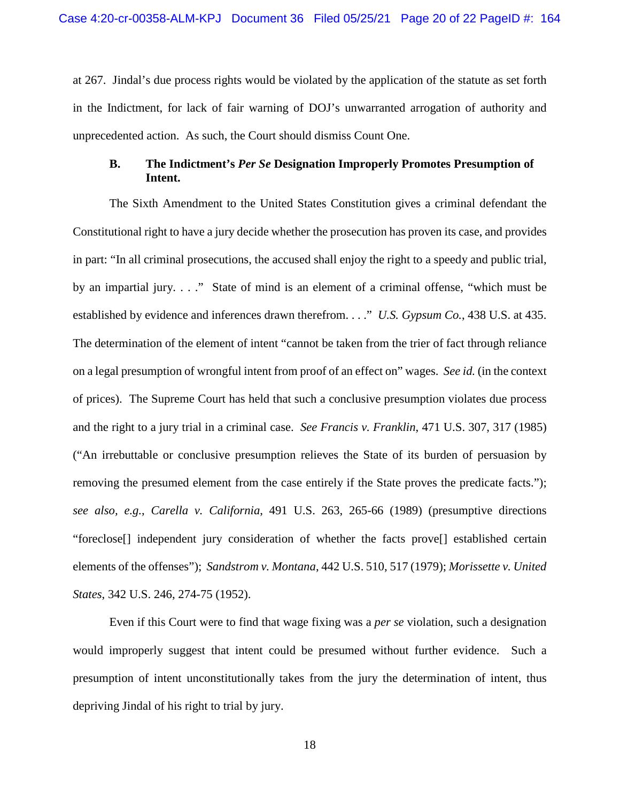at 267. Jindal's due process rights would be violated by the application of the statute as set forth in the Indictment, for lack of fair warning of DOJ's unwarranted arrogation of authority and unprecedented action. As such, the Court should dismiss Count One.

## **B. The Indictment's** *Per Se* **Designation Improperly Promotes Presumption of Intent.**

The Sixth Amendment to the United States Constitution gives a criminal defendant the Constitutional right to have a jury decide whether the prosecution has proven its case, and provides in part: "In all criminal prosecutions, the accused shall enjoy the right to a speedy and public trial, by an impartial jury. . . ." State of mind is an element of a criminal offense, "which must be established by evidence and inferences drawn therefrom. . . ." *U.S. Gypsum Co.*, 438 U.S. at 435. The determination of the element of intent "cannot be taken from the trier of fact through reliance on a legal presumption of wrongful intent from proof of an effect on" wages. *See id.* (in the context of prices). The Supreme Court has held that such a conclusive presumption violates due process and the right to a jury trial in a criminal case. *See Francis v. Franklin*, 471 U.S. 307, 317 (1985) ("An irrebuttable or conclusive presumption relieves the State of its burden of persuasion by removing the presumed element from the case entirely if the State proves the predicate facts."); *see also, e.g.*, *Carella v. California*, 491 U.S. 263, 265-66 (1989) (presumptive directions "foreclose[] independent jury consideration of whether the facts prove[] established certain elements of the offenses"); *Sandstrom v. Montana*, 442 U.S. 510, 517 (1979); *Morissette v. United States*, 342 U.S. 246, 274-75 (1952).

Even if this Court were to find that wage fixing was a *per se* violation, such a designation would improperly suggest that intent could be presumed without further evidence. Such a presumption of intent unconstitutionally takes from the jury the determination of intent, thus depriving Jindal of his right to trial by jury.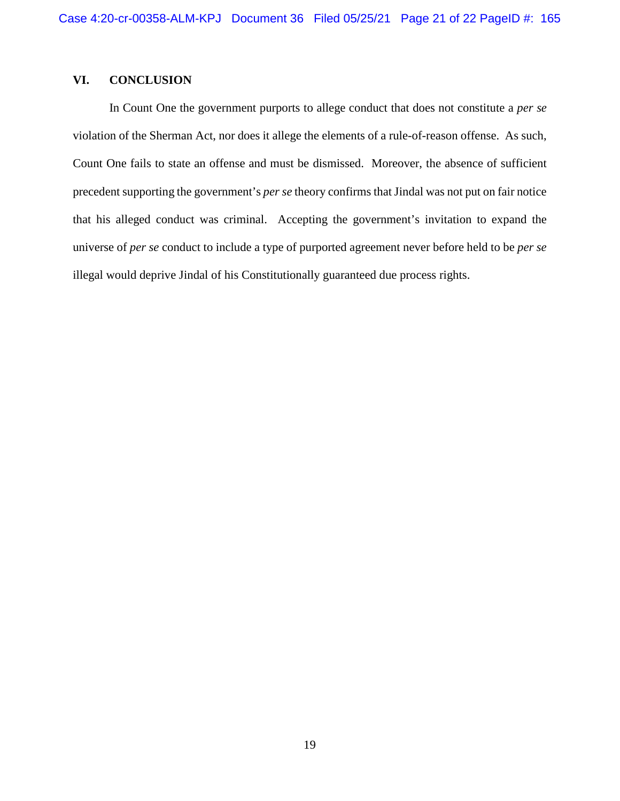## **VI. CONCLUSION**

In Count One the government purports to allege conduct that does not constitute a *per se* violation of the Sherman Act, nor does it allege the elements of a rule-of-reason offense. As such, Count One fails to state an offense and must be dismissed. Moreover, the absence of sufficient precedent supporting the government's *per se* theory confirms that Jindal was not put on fair notice that his alleged conduct was criminal. Accepting the government's invitation to expand the universe of *per se* conduct to include a type of purported agreement never before held to be *per se* illegal would deprive Jindal of his Constitutionally guaranteed due process rights.